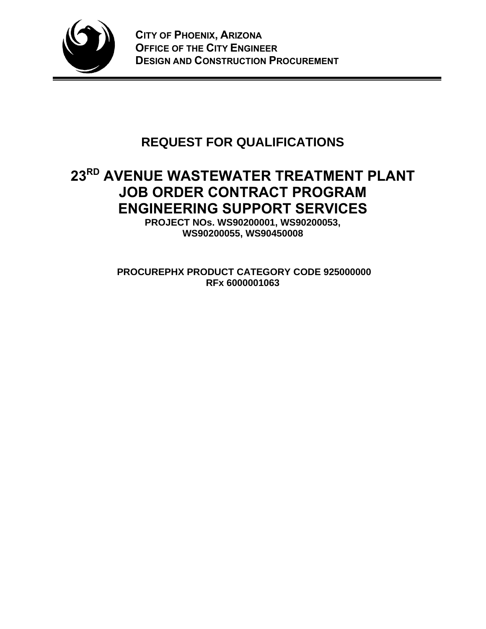

# **REQUEST FOR QUALIFICATIONS**

# **23RD AVENUE WASTEWATER TREATMENT PLANT JOB ORDER CONTRACT PROGRAM ENGINEERING SUPPORT SERVICES**

**PROJECT NOs. WS90200001, WS90200053, WS90200055, WS90450008** 

**PROCUREPHX PRODUCT CATEGORY CODE 925000000 RFx 6000001063**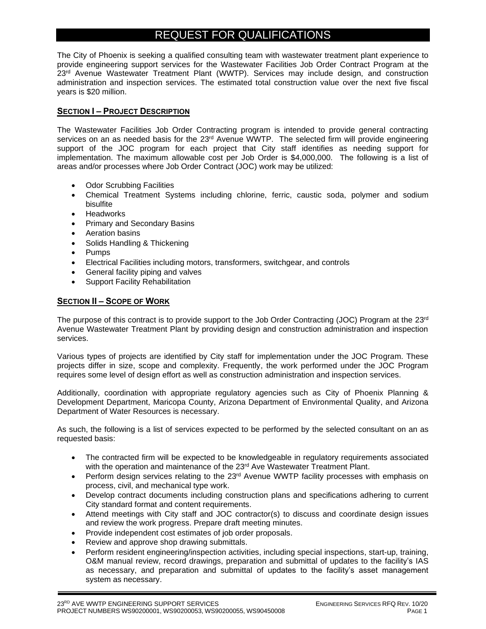## REQUEST FOR QUALIFICATIONS

The City of Phoenix is seeking a qualified consulting team with wastewater treatment plant experience to provide engineering support services for the Wastewater Facilities Job Order Contract Program at the 23<sup>rd</sup> Avenue Wastewater Treatment Plant (WWTP). Services may include design, and construction administration and inspection services. The estimated total construction value over the next five fiscal years is \$20 million.

## **SECTION I – PROJECT DESCRIPTION**

The Wastewater Facilities Job Order Contracting program is intended to provide general contracting services on an as needed basis for the 23<sup>rd</sup> Avenue WWTP. The selected firm will provide engineering support of the JOC program for each project that City staff identifies as needing support for implementation. The maximum allowable cost per Job Order is \$4,000,000. The following is a list of areas and/or processes where Job Order Contract (JOC) work may be utilized:

- Odor Scrubbing Facilities
- Chemical Treatment Systems including chlorine, ferric, caustic soda, polymer and sodium bisulfite
- Headworks
- Primary and Secondary Basins
- Aeration basins
- Solids Handling & Thickening
- Pumps
- Electrical Facilities including motors, transformers, switchgear, and controls
- General facility piping and valves
- Support Facility Rehabilitation

## **SECTION II – SCOPE OF WORK**

The purpose of this contract is to provide support to the Job Order Contracting (JOC) Program at the 23<sup>rd</sup> Avenue Wastewater Treatment Plant by providing design and construction administration and inspection services.

Various types of projects are identified by City staff for implementation under the JOC Program. These projects differ in size, scope and complexity. Frequently, the work performed under the JOC Program requires some level of design effort as well as construction administration and inspection services.

Additionally, coordination with appropriate regulatory agencies such as City of Phoenix Planning & Development Department, Maricopa County, Arizona Department of Environmental Quality, and Arizona Department of Water Resources is necessary.

As such, the following is a list of services expected to be performed by the selected consultant on an as requested basis:

- The contracted firm will be expected to be knowledgeable in regulatory requirements associated with the operation and maintenance of the 23rd Ave Wastewater Treatment Plant.
- Perform design services relating to the  $23<sup>rd</sup>$  Avenue WWTP facility processes with emphasis on process, civil, and mechanical type work.
- Develop contract documents including construction plans and specifications adhering to current City standard format and content requirements.
- Attend meetings with City staff and JOC contractor(s) to discuss and coordinate design issues and review the work progress. Prepare draft meeting minutes.
- Provide independent cost estimates of job order proposals.
- Review and approve shop drawing submittals.
- Perform resident engineering/inspection activities, including special inspections, start-up, training, O&M manual review, record drawings, preparation and submittal of updates to the facility's IAS as necessary, and preparation and submittal of updates to the facility's asset management system as necessary.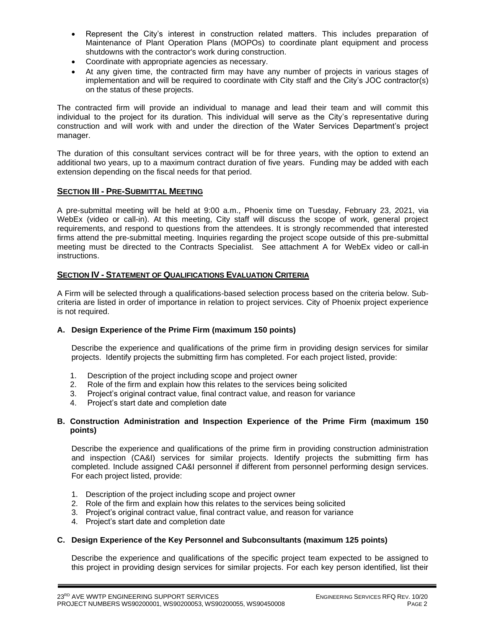- Represent the City's interest in construction related matters. This includes preparation of Maintenance of Plant Operation Plans (MOPOs) to coordinate plant equipment and process shutdowns with the contractor's work during construction.
- Coordinate with appropriate agencies as necessary.
- At any given time, the contracted firm may have any number of projects in various stages of implementation and will be required to coordinate with City staff and the City's JOC contractor(s) on the status of these projects.

The contracted firm will provide an individual to manage and lead their team and will commit this individual to the project for its duration. This individual will serve as the City's representative during construction and will work with and under the direction of the Water Services Department's project manager.

The duration of this consultant services contract will be for three years, with the option to extend an additional two years, up to a maximum contract duration of five years. Funding may be added with each extension depending on the fiscal needs for that period.

#### **SECTION III - PRE-SUBMITTAL MEETING**

A pre-submittal meeting will be held at 9:00 a.m., Phoenix time on Tuesday, February 23, 2021, via WebEx (video or call-in). At this meeting, City staff will discuss the scope of work, general project requirements, and respond to questions from the attendees. It is strongly recommended that interested firms attend the pre-submittal meeting. Inquiries regarding the project scope outside of this pre-submittal meeting must be directed to the Contracts Specialist. See attachment A for WebEx video or call-in instructions.

## **SECTION IV - STATEMENT OF QUALIFICATIONS EVALUATION CRITERIA**

A Firm will be selected through a qualifications-based selection process based on the criteria below. Subcriteria are listed in order of importance in relation to project services. City of Phoenix project experience is not required.

#### **A. Design Experience of the Prime Firm (maximum 150 points)**

Describe the experience and qualifications of the prime firm in providing design services for similar projects. Identify projects the submitting firm has completed. For each project listed, provide:

- 1. Description of the project including scope and project owner
- 2. Role of the firm and explain how this relates to the services being solicited
- 3. Project's original contract value, final contract value, and reason for variance
- 4. Project's start date and completion date

#### **B. Construction Administration and Inspection Experience of the Prime Firm (maximum 150 points)**

Describe the experience and qualifications of the prime firm in providing construction administration and inspection (CA&I) services for similar projects. Identify projects the submitting firm has completed. Include assigned CA&I personnel if different from personnel performing design services. For each project listed, provide:

- 1. Description of the project including scope and project owner
- 2. Role of the firm and explain how this relates to the services being solicited
- 3. Project's original contract value, final contract value, and reason for variance
- 4. Project's start date and completion date

#### **C. Design Experience of the Key Personnel and Subconsultants (maximum 125 points)**

Describe the experience and qualifications of the specific project team expected to be assigned to this project in providing design services for similar projects. For each key person identified, list their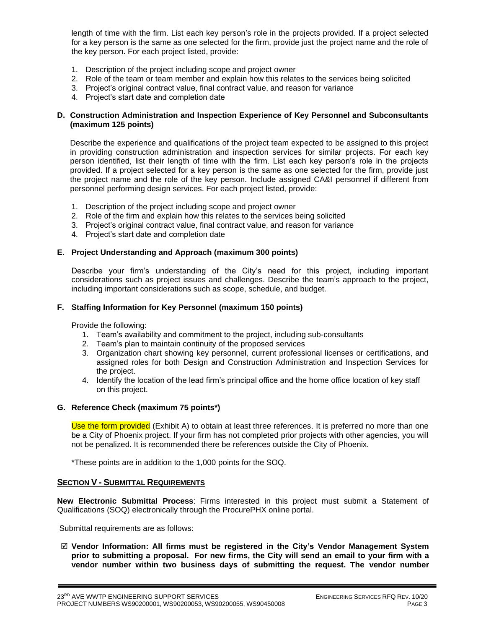length of time with the firm. List each key person's role in the projects provided. If a project selected for a key person is the same as one selected for the firm, provide just the project name and the role of the key person. For each project listed, provide:

- 1. Description of the project including scope and project owner
- 2. Role of the team or team member and explain how this relates to the services being solicited
- 3. Project's original contract value, final contract value, and reason for variance
- 4. Project's start date and completion date

#### **D. Construction Administration and Inspection Experience of Key Personnel and Subconsultants (maximum 125 points)**

Describe the experience and qualifications of the project team expected to be assigned to this project in providing construction administration and inspection services for similar projects. For each key person identified, list their length of time with the firm. List each key person's role in the projects provided. If a project selected for a key person is the same as one selected for the firm, provide just the project name and the role of the key person. Include assigned CA&I personnel if different from personnel performing design services. For each project listed, provide:

- 1. Description of the project including scope and project owner
- 2. Role of the firm and explain how this relates to the services being solicited
- 3. Project's original contract value, final contract value, and reason for variance
- 4. Project's start date and completion date

#### **E. Project Understanding and Approach (maximum 300 points)**

Describe your firm's understanding of the City's need for this project, including important considerations such as project issues and challenges. Describe the team's approach to the project, including important considerations such as scope, schedule, and budget.

#### **F. Staffing Information for Key Personnel (maximum 150 points)**

Provide the following:

- 1. Team's availability and commitment to the project, including sub-consultants
- 2. Team's plan to maintain continuity of the proposed services
- 3. Organization chart showing key personnel, current professional licenses or certifications, and assigned roles for both Design and Construction Administration and Inspection Services for the project.
- 4. Identify the location of the lead firm's principal office and the home office location of key staff on this project.

#### **G. Reference Check (maximum 75 points\*)**

Use the form provided (Exhibit A) to obtain at least three references. It is preferred no more than one be a City of Phoenix project. If your firm has not completed prior projects with other agencies, you will not be penalized. It is recommended there be references outside the City of Phoenix.

\*These points are in addition to the 1,000 points for the SOQ.

#### **SECTION V - SUBMITTAL REQUIREMENTS**

**New Electronic Submittal Process**: Firms interested in this project must submit a Statement of Qualifications (SOQ) electronically through the ProcurePHX online portal.

Submittal requirements are as follows:

 **Vendor Information: All firms must be registered in the City's Vendor Management System prior to submitting a proposal. For new firms, the City will send an email to your firm with a vendor number within two business days of submitting the request. The vendor number**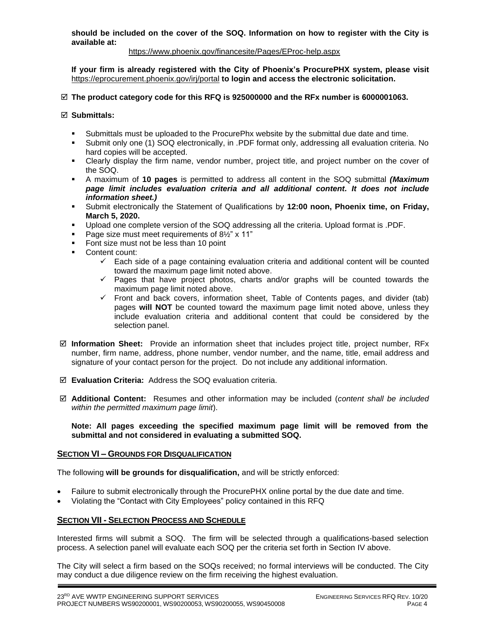**should be included on the cover of the SOQ. Information on how to register with the City is available at:** 

#### <https://www.phoenix.gov/financesite/Pages/EProc-help.aspx>

**If your firm is already registered with the City of Phoenix's ProcurePHX system, please visit**  <https://eprocurement.phoenix.gov/irj/portal> **to login and access the electronic solicitation.**

#### **The product category code for this RFQ is 925000000 and the RFx number is 6000001063.**

#### **Submittals:**

- Submittals must be uploaded to the ProcurePhx website by the submittal due date and time.
- Submit only one (1) SOQ electronically, in .PDF format only, addressing all evaluation criteria. No hard copies will be accepted.
- Clearly display the firm name, vendor number, project title, and project number on the cover of the SOQ.
- A maximum of **10 pages** is permitted to address all content in the SOQ submittal *(Maximum page limit includes evaluation criteria and all additional content. It does not include information sheet.)*
- Submit electronically the Statement of Qualifications by **12:00 noon, Phoenix time, on Friday, March 5, 2020.**
- Upload one complete version of the SOQ addressing all the criteria. Upload format is .PDF.
- Page size must meet requirements of 8½" x 11"
- Font size must not be less than 10 point
- Content count:
	- $\checkmark$  Each side of a page containing evaluation criteria and additional content will be counted toward the maximum page limit noted above.
	- ✓ Pages that have project photos, charts and/or graphs will be counted towards the maximum page limit noted above.
	- ✓ Front and back covers, information sheet, Table of Contents pages, and divider (tab) pages **will NOT** be counted toward the maximum page limit noted above, unless they include evaluation criteria and additional content that could be considered by the selection panel.
- **Information Sheet:** Provide an information sheet that includes project title, project number, RFx number, firm name, address, phone number, vendor number, and the name, title, email address and signature of your contact person for the project. Do not include any additional information.
- **Evaluation Criteria:** Address the SOQ evaluation criteria.
- **Additional Content:** Resumes and other information may be included (*content shall be included within the permitted maximum page limit*).

#### **Note: All pages exceeding the specified maximum page limit will be removed from the submittal and not considered in evaluating a submitted SOQ.**

#### **SECTION VI – GROUNDS FOR DISQUALIFICATION**

The following **will be grounds for disqualification,** and will be strictly enforced:

- Failure to submit electronically through the ProcurePHX online portal by the due date and time.
- Violating the "Contact with City Employees" policy contained in this RFQ

#### **SECTION VII - SELECTION PROCESS AND SCHEDULE**

Interested firms will submit a SOQ. The firm will be selected through a qualifications-based selection process. A selection panel will evaluate each SOQ per the criteria set forth in Section IV above.

The City will select a firm based on the SOQs received; no formal interviews will be conducted. The City may conduct a due diligence review on the firm receiving the highest evaluation.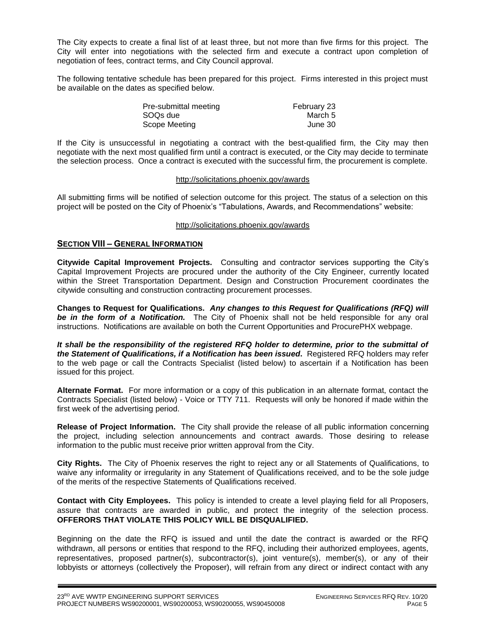The City expects to create a final list of at least three, but not more than five firms for this project. The City will enter into negotiations with the selected firm and execute a contract upon completion of negotiation of fees, contract terms, and City Council approval.

The following tentative schedule has been prepared for this project. Firms interested in this project must be available on the dates as specified below.

| Pre-submittal meeting | February 23 |
|-----------------------|-------------|
| SOQ <sub>s</sub> due  | March 5     |
| Scope Meeting         | June 30     |

If the City is unsuccessful in negotiating a contract with the best-qualified firm, the City may then negotiate with the next most qualified firm until a contract is executed, or the City may decide to terminate the selection process. Once a contract is executed with the successful firm, the procurement is complete.

#### http://solicitations.phoenix.gov/awards

All submitting firms will be notified of selection outcome for this project. The status of a selection on this project will be posted on the City of Phoenix's "Tabulations, Awards, and Recommendations" website:

#### <http://solicitations.phoenix.gov/awards>

#### **SECTION VIII – GENERAL INFORMATION**

**Citywide Capital Improvement Projects.** Consulting and contractor services supporting the City's Capital Improvement Projects are procured under the authority of the City Engineer, currently located within the Street Transportation Department. Design and Construction Procurement coordinates the citywide consulting and construction contracting procurement processes.

**Changes to Request for Qualifications.** *Any changes to this Request for Qualifications (RFQ) will be in the form of a Notification.* The City of Phoenix shall not be held responsible for any oral instructions. Notifications are available on both the Current Opportunities and ProcurePHX webpage.

*It shall be the responsibility of the registered RFQ holder to determine, prior to the submittal of the Statement of Qualifications, if a Notification has been issued***.** Registered RFQ holders may refer to the web page or call the Contracts Specialist (listed below) to ascertain if a Notification has been issued for this project.

**Alternate Format.** For more information or a copy of this publication in an alternate format, contact the Contracts Specialist (listed below) - Voice or TTY 711. Requests will only be honored if made within the first week of the advertising period.

**Release of Project Information.** The City shall provide the release of all public information concerning the project, including selection announcements and contract awards. Those desiring to release information to the public must receive prior written approval from the City.

**City Rights.** The City of Phoenix reserves the right to reject any or all Statements of Qualifications, to waive any informality or irregularity in any Statement of Qualifications received, and to be the sole judge of the merits of the respective Statements of Qualifications received.

**Contact with City Employees.** This policy is intended to create a level playing field for all Proposers, assure that contracts are awarded in public, and protect the integrity of the selection process. **OFFERORS THAT VIOLATE THIS POLICY WILL BE DISQUALIFIED.**

Beginning on the date the RFQ is issued and until the date the contract is awarded or the RFQ withdrawn, all persons or entities that respond to the RFQ, including their authorized employees, agents, representatives, proposed partner(s), subcontractor(s), joint venture(s), member(s), or any of their lobbyists or attorneys (collectively the Proposer), will refrain from any direct or indirect contact with any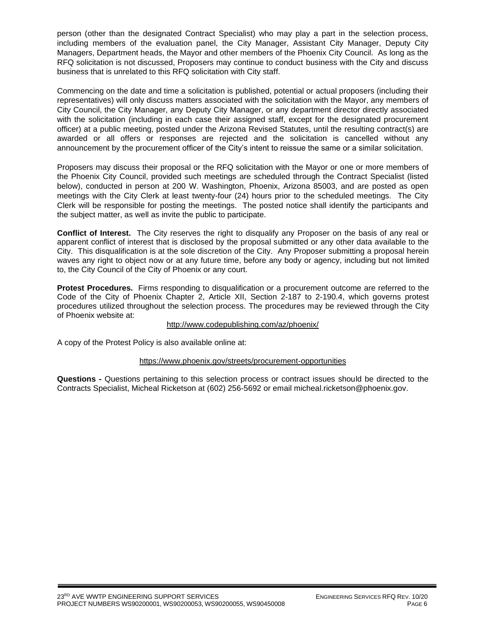person (other than the designated Contract Specialist) who may play a part in the selection process, including members of the evaluation panel, the City Manager, Assistant City Manager, Deputy City Managers, Department heads, the Mayor and other members of the Phoenix City Council. As long as the RFQ solicitation is not discussed, Proposers may continue to conduct business with the City and discuss business that is unrelated to this RFQ solicitation with City staff.

Commencing on the date and time a solicitation is published, potential or actual proposers (including their representatives) will only discuss matters associated with the solicitation with the Mayor, any members of City Council, the City Manager, any Deputy City Manager, or any department director directly associated with the solicitation (including in each case their assigned staff, except for the designated procurement officer) at a public meeting, posted under the Arizona Revised Statutes, until the resulting contract(s) are awarded or all offers or responses are rejected and the solicitation is cancelled without any announcement by the procurement officer of the City's intent to reissue the same or a similar solicitation.

Proposers may discuss their proposal or the RFQ solicitation with the Mayor or one or more members of the Phoenix City Council, provided such meetings are scheduled through the Contract Specialist (listed below), conducted in person at 200 W. Washington, Phoenix, Arizona 85003, and are posted as open meetings with the City Clerk at least twenty-four (24) hours prior to the scheduled meetings. The City Clerk will be responsible for posting the meetings. The posted notice shall identify the participants and the subject matter, as well as invite the public to participate.

**Conflict of Interest.** The City reserves the right to disqualify any Proposer on the basis of any real or apparent conflict of interest that is disclosed by the proposal submitted or any other data available to the City. This disqualification is at the sole discretion of the City. Any Proposer submitting a proposal herein waves any right to object now or at any future time, before any body or agency, including but not limited to, the City Council of the City of Phoenix or any court.

**Protest Procedures.** Firms responding to disqualification or a procurement outcome are referred to the Code of the City of Phoenix Chapter 2, Article XII, Section 2-187 to 2-190.4, which governs protest procedures utilized throughout the selection process. The procedures may be reviewed through the City of Phoenix website at:

#### <http://www.codepublishing.com/az/phoenix/>

A copy of the Protest Policy is also available online at:

#### <https://www.phoenix.gov/streets/procurement-opportunities>

**Questions -** Questions pertaining to this selection process or contract issues should be directed to the Contracts Specialist, Micheal Ricketson at (602) 256-5692 or email micheal.ricketson@phoenix.gov.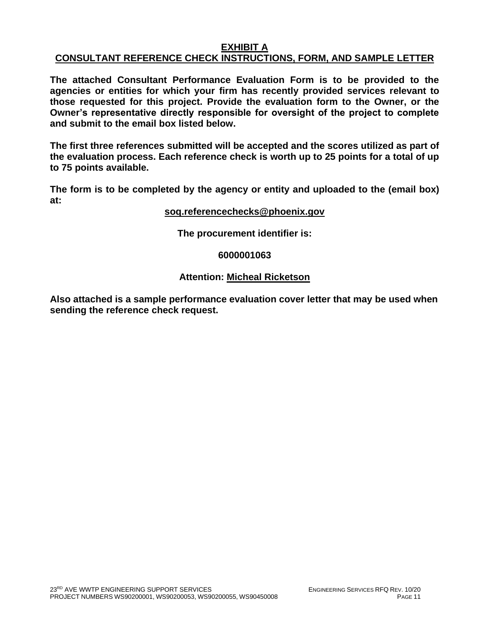## **EXHIBIT A**

## **CONSULTANT REFERENCE CHECK INSTRUCTIONS, FORM, AND SAMPLE LETTER**

**The attached Consultant Performance Evaluation Form is to be provided to the agencies or entities for which your firm has recently provided services relevant to those requested for this project. Provide the evaluation form to the Owner, or the Owner's representative directly responsible for oversight of the project to complete and submit to the email box listed below.**

**The first three references submitted will be accepted and the scores utilized as part of the evaluation process. Each reference check is worth up to 25 points for a total of up to 75 points available.**

**The form is to be completed by the agency or entity and uploaded to the (email box) at:**

#### **[soq.referencechecks@phoenix.gov](mailto:soq.referencechecks@phoenix.gov)**

**The procurement identifier is:**

#### **6000001063**

## **Attention: Micheal Ricketson**

**Also attached is a sample performance evaluation cover letter that may be used when sending the reference check request.**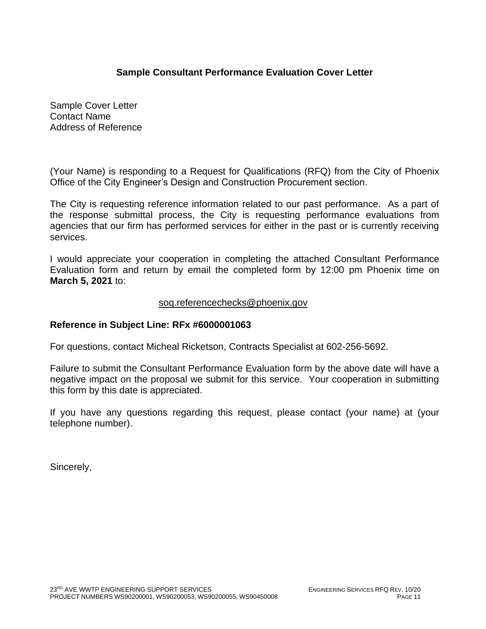## **Sample Consultant Performance Evaluation Cover Letter**

Sample Cover Letter Contact Name Address of Reference

(Your Name) is responding to a Request for Qualifications (RFQ) from the City of Phoenix Office of the City Engineer's Design and Construction Procurement section.

The City is requesting reference information related to our past performance. As a part of the response submittal process, the City is requesting performance evaluations from agencies that our firm has performed services for either in the past or is currently receiving services.

I would appreciate your cooperation in completing the attached Consultant Performance Evaluation form and return by email the completed form by 12:00 pm Phoenix time on **March 5, 2021** to:

## [soq.referencechecks@phoenix.gov](mailto:soq.referencechecks@phoenix.gov)

## **Reference in Subject Line: RFx #6000001063**

For questions, contact Micheal Ricketson, Contracts Specialist at 602-256-5692.

Failure to submit the Consultant Performance Evaluation form by the above date will have a negative impact on the proposal we submit for this service. Your cooperation in submitting this form by this date is appreciated.

If you have any questions regarding this request, please contact (your name) at (your telephone number).

Sincerely,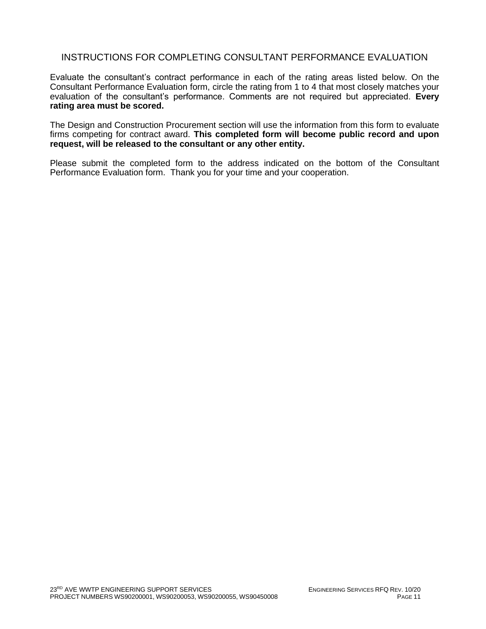## INSTRUCTIONS FOR COMPLETING CONSULTANT PERFORMANCE EVALUATION

Evaluate the consultant's contract performance in each of the rating areas listed below. On the Consultant Performance Evaluation form, circle the rating from 1 to 4 that most closely matches your evaluation of the consultant's performance. Comments are not required but appreciated. **Every rating area must be scored.** 

The Design and Construction Procurement section will use the information from this form to evaluate firms competing for contract award. **This completed form will become public record and upon request, will be released to the consultant or any other entity.**

Please submit the completed form to the address indicated on the bottom of the Consultant Performance Evaluation form. Thank you for your time and your cooperation.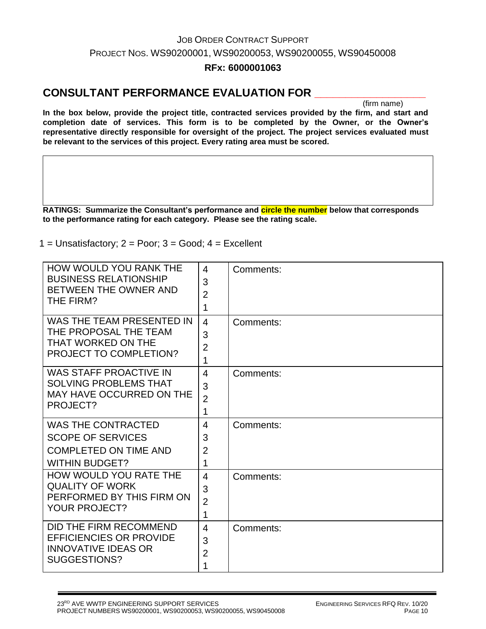# JOB ORDER CONTRACT SUPPORT PROJECT NOS. WS90200001, WS90200053, WS90200055, WS90450008

## **RFx: 6000001063**

## **CONSULTANT PERFORMANCE EVALUATION FOR \_\_\_\_\_\_\_\_\_\_\_\_\_\_\_\_\_\_**

(firm name)

**In the box below, provide the project title, contracted services provided by the firm, and start and completion date of services. This form is to be completed by the Owner, or the Owner's representative directly responsible for oversight of the project. The project services evaluated must be relevant to the services of this project. Every rating area must be scored.** 

**RATINGS: Summarize the Consultant's performance and circle the number below that corresponds to the performance rating for each category. Please see the rating scale.**

 $1 =$  Unsatisfactory;  $2 =$  Poor;  $3 =$  Good;  $4 =$  Excellent

| HOW WOULD YOU RANK THE<br><b>BUSINESS RELATIONSHIP</b><br>BETWEEN THE OWNER AND<br>THE FIRM?                   | 4<br>3<br>$\overline{2}$<br>1              | Comments: |
|----------------------------------------------------------------------------------------------------------------|--------------------------------------------|-----------|
| WAS THE TEAM PRESENTED IN<br>THE PROPOSAL THE TEAM<br>THAT WORKED ON THE<br><b>PROJECT TO COMPLETION?</b>      | $\overline{4}$<br>3<br>$\overline{2}$<br>1 | Comments: |
| <b>WAS STAFF PROACTIVE IN</b><br><b>SOLVING PROBLEMS THAT</b><br>MAY HAVE OCCURRED ON THE<br>PROJECT?          | $\overline{4}$<br>3<br>$\overline{2}$<br>1 | Comments: |
| <b>WAS THE CONTRACTED</b><br><b>SCOPE OF SERVICES</b><br><b>COMPLETED ON TIME AND</b><br><b>WITHIN BUDGET?</b> | $\overline{4}$<br>3<br>$\overline{2}$<br>1 | Comments: |
| HOW WOULD YOU RATE THE<br><b>QUALITY OF WORK</b><br>PERFORMED BY THIS FIRM ON<br><b>YOUR PROJECT?</b>          | $\overline{4}$<br>3<br>$\overline{2}$<br>1 | Comments: |
| DID THE FIRM RECOMMEND<br><b>EFFICIENCIES OR PROVIDE</b><br><b>INNOVATIVE IDEAS OR</b><br>SUGGESTIONS?         | $\overline{4}$<br>3<br>$\overline{2}$<br>1 | Comments: |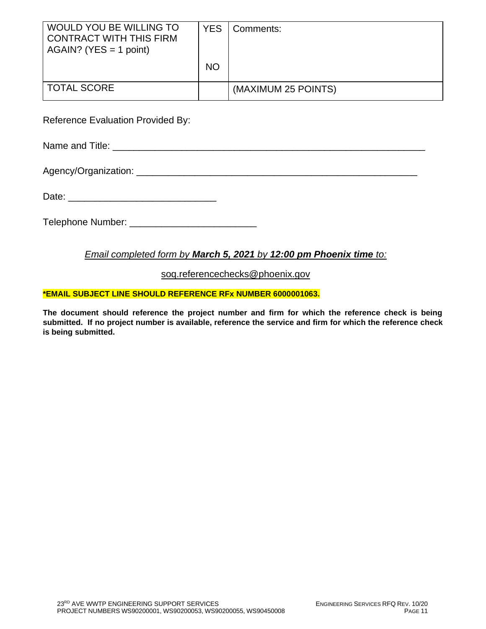| WOULD YOU BE WILLING TO<br><b>CONTRACT WITH THIS FIRM</b><br>$AGAIN?$ (YES = 1 point) | YES.      | Comments:           |
|---------------------------------------------------------------------------------------|-----------|---------------------|
|                                                                                       | <b>NO</b> |                     |
| <b>TOTAL SCORE</b>                                                                    |           | (MAXIMUM 25 POINTS) |

Reference Evaluation Provided By:

Name and Title:  $\blacksquare$ 

Agency/Organization: \_\_\_\_\_\_\_\_\_\_\_\_\_\_\_\_\_\_\_\_\_\_\_\_\_\_\_\_\_\_\_\_\_\_\_\_\_\_\_\_\_\_\_\_\_\_\_\_\_\_\_\_\_

Date: \_\_\_\_\_\_\_\_\_\_\_\_\_\_\_\_\_\_\_\_\_\_\_\_\_\_\_\_

Telephone Number: \_\_\_\_\_\_\_\_\_\_\_\_\_\_\_\_\_\_\_\_\_\_\_\_

## *Email completed form by March 5, 2021 by 12:00 pm Phoenix time to:*

[soq.referencechecks@phoenix.gov](mailto:soq.referencechecks@phoenix.gov)

#### **\*EMAIL SUBJECT LINE SHOULD REFERENCE RFx NUMBER 6000001063.**

**The document should reference the project number and firm for which the reference check is being submitted. If no project number is available, reference the service and firm for which the reference check is being submitted.**